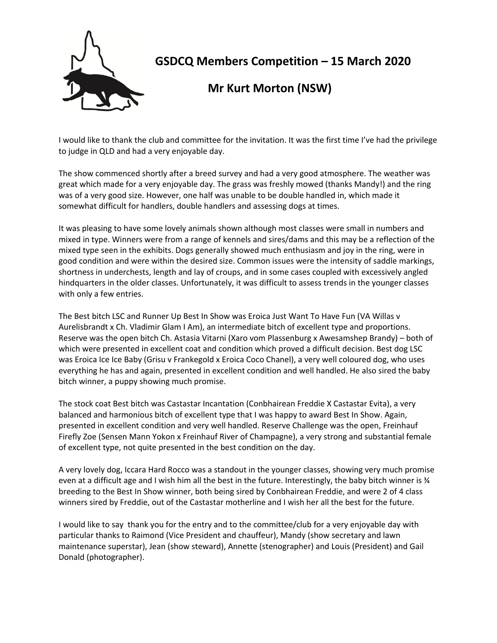

**GSDCQ Members Competition – 15 March 2020**

 **Mr Kurt Morton (NSW)**

I would like to thank the club and committee for the invitation. It was the first time I've had the privilege to judge in QLD and had a very enjoyable day.

The show commenced shortly after a breed survey and had a very good atmosphere. The weather was great which made for a very enjoyable day. The grass was freshly mowed (thanks Mandy!) and the ring was of a very good size. However, one half was unable to be double handled in, which made it somewhat difficult for handlers, double handlers and assessing dogs at times.

It was pleasing to have some lovely animals shown although most classes were small in numbers and mixed in type. Winners were from a range of kennels and sires/dams and this may be a reflection of the mixed type seen in the exhibits. Dogs generally showed much enthusiasm and joy in the ring, were in good condition and were within the desired size. Common issues were the intensity of saddle markings, shortness in underchests, length and lay of croups, and in some cases coupled with excessively angled hindquarters in the older classes. Unfortunately, it was difficult to assess trends in the younger classes with only a few entries.

The Best bitch LSC and Runner Up Best In Show was Eroica Just Want To Have Fun (VA Willas v Aurelisbrandt x Ch. Vladimir Glam I Am), an intermediate bitch of excellent type and proportions. Reserve was the open bitch Ch. Astasia Vitarni (Xaro vom Plassenburg x Awesamshep Brandy) – both of which were presented in excellent coat and condition which proved a difficult decision. Best dog LSC was Eroica Ice Ice Baby (Grisu v Frankegold x Eroica Coco Chanel), a very well coloured dog, who uses everything he has and again, presented in excellent condition and well handled. He also sired the baby bitch winner, a puppy showing much promise.

The stock coat Best bitch was Castastar Incantation (Conbhairean Freddie X Castastar Evita), a very balanced and harmonious bitch of excellent type that I was happy to award Best In Show. Again, presented in excellent condition and very well handled. Reserve Challenge was the open, Freinhauf Firefly Zoe (Sensen Mann Yokon x Freinhauf River of Champagne), a very strong and substantial female of excellent type, not quite presented in the best condition on the day.

A very lovely dog, Iccara Hard Rocco was a standout in the younger classes, showing very much promise even at a difficult age and I wish him all the best in the future. Interestingly, the baby bitch winner is ¾ breeding to the Best In Show winner, both being sired by Conbhairean Freddie, and were 2 of 4 class winners sired by Freddie, out of the Castastar motherline and I wish her all the best for the future.

I would like to say thank you for the entry and to the committee/club for a very enjoyable day with particular thanks to Raimond (Vice President and chauffeur), Mandy (show secretary and lawn maintenance superstar), Jean (show steward), Annette (stenographer) and Louis (President) and Gail Donald (photographer).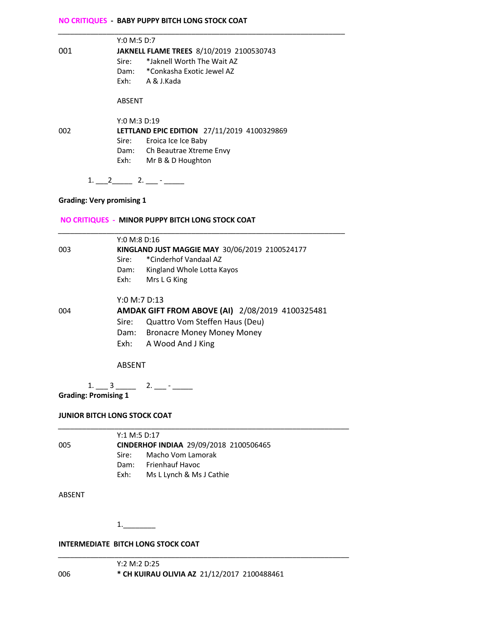#### **NO CRITIQUES - BABY PUPPY BITCH LONG STOCK COAT**

|     | Y:0 M:5 D:7                                     |  |  |
|-----|-------------------------------------------------|--|--|
| 001 | <b>JAKNELL FLAME TREES 8/10/2019 2100530743</b> |  |  |
|     | *Jaknell Worth The Wait A7<br>Sire:             |  |  |
|     | Dam: *Conkasha Exotic Jewel AZ                  |  |  |
|     | Exh: A & J.Kada                                 |  |  |
|     | ABSENT                                          |  |  |
|     | Y:0 M:3 D:19                                    |  |  |
| 002 | LETTLAND EPIC EDITION 27/11/2019 4100329869     |  |  |
|     | Sire:<br>Eroica Ice Ice Baby                    |  |  |
|     | Dam: Ch Beautrae Xtreme Envy                    |  |  |
|     | Exh:<br>Mr B & D Houghton                       |  |  |
|     |                                                 |  |  |

# **Grading: Very promising 1**

 $1. \_2 \_2 \_2 \_3 \_3 \_4 \_5 \_5 \_6 \_7 \_7 \_8 \_9 \_1 \_1 \_2 \_4 \_5 \_6 \_7 \_7 \_8 \_9 \_1 \_1 \_2 \_4 \_5 \_6 \_7 \_7 \_8 \_9 \_1 \_1 \_2 \_4 \_5 \_6 \_7 \_7 \_8 \_9 \_1 \_1 \_2 \_4 \_3 \_4 \_5 \_6 \_7 \_7 \_8 \_9 \_1 \_1 \_2 \_4 \_3 \_4 \_5 \_6 \_7 \_7 \_8 \_9 \_1 \_1 \_2 \_4 \_3 \_$ 

#### **NO CRITIQUES - MINOR PUPPY BITCH LONG STOCK COAT**

|     | Y:0 M:8 D:16                                   |                                                 |  |
|-----|------------------------------------------------|-------------------------------------------------|--|
| 003 | KINGLAND JUST MAGGIE MAY 30/06/2019 2100524177 |                                                 |  |
|     | Sire:                                          | *Cinderhof Vandaal AZ                           |  |
|     | Dam:                                           | Kingland Whole Lotta Kayos                      |  |
|     | Exh:                                           | Mrs L G King                                    |  |
|     | Y:0 M:7 D:13                                   |                                                 |  |
| 004 |                                                | AMDAK GIFT FROM ABOVE (AI) 2/08/2019 4100325481 |  |
|     | Sire:                                          | Quattro Vom Steffen Haus (Deu)                  |  |
|     | Dam:                                           | <b>Bronacre Money Money Money</b>               |  |
|     |                                                | Exh: A Wood And J King                          |  |
|     |                                                |                                                 |  |

*\_\_\_\_\_\_\_\_\_\_\_\_\_\_\_\_\_\_\_\_\_\_\_\_\_\_\_\_\_\_\_\_\_\_\_\_\_\_\_\_\_\_\_\_\_\_\_\_\_\_\_\_\_\_\_\_\_\_\_\_\_\_\_\_\_\_\_\_\_\_\_*

#### ABSENT

 $1. - 3 - 2. - - -$ 

**Grading: Promising 1**

*\_\_\_\_\_\_\_\_\_\_\_\_\_\_\_\_\_\_\_\_\_\_\_\_\_\_\_\_\_\_\_\_\_\_\_\_\_\_\_\_\_\_\_\_\_\_\_\_\_\_\_\_\_\_\_\_\_\_\_\_\_\_\_\_\_\_\_\_\_\_\_\_* Y:1 M:5 D:17 005 **CINDERHOF INDIAA** 29/09/2018 2100506465 Sire: Macho Vom Lamorak Dam: Frienhauf Havoc

Exh: Ms L Lynch & Ms J Cathie

#### ABSENT

1.\_\_\_\_\_\_\_\_

#### **INTERMEDIATE BITCH LONG STOCK COAT**

*\_\_\_\_\_\_\_\_\_\_\_\_\_\_\_\_\_\_\_\_\_\_\_\_\_\_\_\_\_\_\_\_\_\_\_\_\_\_\_\_\_\_\_\_\_\_\_\_\_\_\_\_\_\_\_\_\_\_\_\_\_\_\_\_\_\_\_\_\_\_\_\_* Y:2 M:2 D:25 006 **\* CH KUIRAU OLIVIA AZ** 21/12/2017 2100488461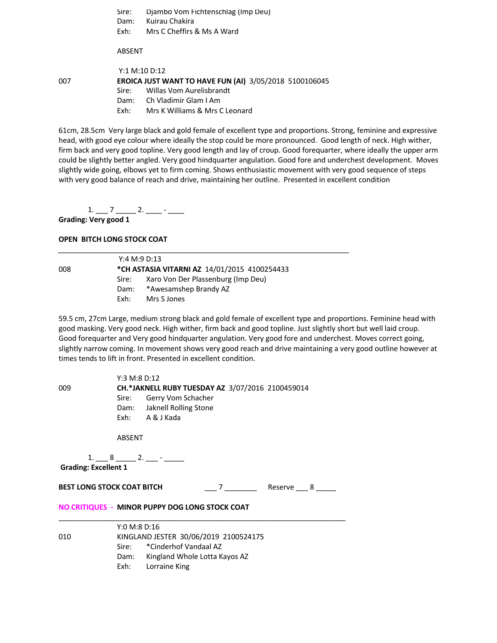Sire: Djambo Vom Fichtenschlag (Imp Deu) Dam: Kuirau Chakira Exh: Mrs C Cheffirs & Ms A Ward

ABSENT

Y:1 M:10 D:12 007 **EROICA JUST WANT TO HAVE FUN (AI)** 3/05/2018 5100106045 Sire: Willas Vom Aurelisbrandt Dam: Ch Vladimir Glam I Am

Exh: Mrs K Williams & Mrs C Leonard

61cm, 28.5cm Very large black and gold female of excellent type and proportions. Strong, feminine and expressive head, with good eye colour where ideally the stop could be more pronounced. Good length of neck. High wither, firm back and very good topline. Very good length and lay of croup. Good forequarter, where ideally the upper arm could be slightly better angled. Very good hindquarter angulation. Good fore and underchest development. Moves slightly wide going, elbows yet to firm coming. Shows enthusiastic movement with very good sequence of steps with very good balance of reach and drive, maintaining her outline. Presented in excellent condition

1. \_\_\_ 7 \_\_\_\_\_ 2. \_\_\_\_ - \_\_\_\_

**Grading: Very good 1**

#### **OPEN BITCH LONG STOCK COAT**

Y:4 M:9 D:13 008 **\*CH ASTASIA VITARNI AZ** 14/01/2015 4100254433 Sire: Xaro Von Der Plassenburg (Imp Deu) Dam: \*Awesamshep Brandy AZ Exh: Mrs S Jones

*\_\_\_\_\_\_\_\_\_\_\_\_\_\_\_\_\_\_\_\_\_\_\_\_\_\_\_\_\_\_\_\_\_\_\_\_\_\_\_\_\_\_\_\_\_\_\_\_\_\_\_\_\_\_\_\_\_\_\_\_\_\_\_\_\_\_\_\_\_\_\_\_*

59.5 cm, 27cm Large, medium strong black and gold female of excellent type and proportions. Feminine head with good masking. Very good neck. High wither, firm back and good topline. Just slightly short but well laid croup. Good forequarter and Very good hindquarter angulation. Very good fore and underchest. Moves correct going, slightly narrow coming. In movement shows very good reach and drive maintaining a very good outline however at times tends to lift in front. Presented in excellent condition.

| 009                               | Y:3 M:8 D:12<br>CH.*JAKNELL RUBY TUESDAY AZ 3/07/2016 2100459014<br>Sire: Gerry Vom Schacher<br>Dam: Jaknell Rolling Stone                        |  |  |  |
|-----------------------------------|---------------------------------------------------------------------------------------------------------------------------------------------------|--|--|--|
|                                   | Exh: A & J Kada<br>ABSENT                                                                                                                         |  |  |  |
| <b>Grading: Excellent 1</b>       |                                                                                                                                                   |  |  |  |
| <b>BEST LONG STOCK COAT BITCH</b> | 7 Reserve 8                                                                                                                                       |  |  |  |
|                                   | NO CRITIQUES - MINOR PUPPY DOG LONG STOCK COAT                                                                                                    |  |  |  |
| 010                               | Y:0 M:8 D:16<br>KINGLAND JESTER 30/06/2019 2100524175<br>Sire: * Cinderhof Vandaal AZ<br>Dam: Kingland Whole Lotta Kayos AZ<br>Exh: Lorraine King |  |  |  |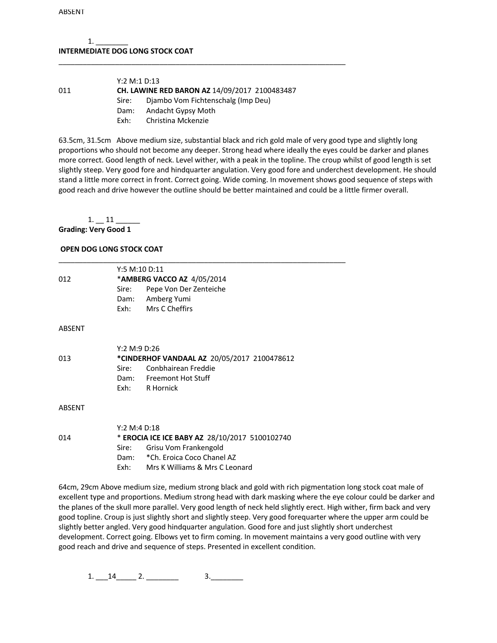### $1.$ **INTERMEDIATE DOG LONG STOCK COAT**

| Y:2 M:1 D:13 |                                                      |
|--------------|------------------------------------------------------|
|              | <b>CH. LAWINE RED BARON AZ 14/09/2017 2100483487</b> |
| Sire:        | Diambo Vom Fichtenschalg (Imp Deu)                   |
| Dam:         | Andacht Gypsy Moth                                   |
| Fxh:         | Christina Mckenzie                                   |
|              |                                                      |

\_\_\_\_\_\_\_\_\_\_\_\_\_\_\_\_\_\_\_\_\_\_\_\_\_\_\_\_\_\_\_\_\_\_\_\_\_\_\_\_\_\_\_\_\_\_\_\_\_\_\_\_\_\_\_\_\_\_\_\_\_\_\_\_\_\_\_\_\_\_\_

63.5cm, 31.5cm Above medium size, substantial black and rich gold male of very good type and slightly long proportions who should not become any deeper. Strong head where ideally the eyes could be darker and planes more correct. Good length of neck. Level wither, with a peak in the topline. The croup whilst of good length is set slightly steep. Very good fore and hindquarter angulation. Very good fore and underchest development. He should stand a little more correct in front. Correct going. Wide coming. In movement shows good sequence of steps with good reach and drive however the outline should be better maintained and could be a little firmer overall.

1. 11 **Grading: Very Good 1** 

## **OPEN DOG LONG STOCK COAT**

|        | Y:5 M:10 D:11                                  |  |  |
|--------|------------------------------------------------|--|--|
| 012    | *AMBERG VACCO AZ 4/05/2014                     |  |  |
|        | Pepe Von Der Zenteiche<br>Sire:                |  |  |
|        | Dam: Amberg Yumi                               |  |  |
|        | Exh: Mrs C Cheffirs                            |  |  |
| ABSENT |                                                |  |  |
|        | Y:2 M:9 D:26                                   |  |  |
| 013    | *CINDERHOF VANDAAL AZ 20/05/2017 2100478612    |  |  |
|        | Conbhairean Freddie<br>Sire:                   |  |  |
|        | Dam: Freemont Hot Stuff                        |  |  |
|        | Exh: R Hornick                                 |  |  |
| ABSENT |                                                |  |  |
|        | Y:2 M:4 D:18                                   |  |  |
| 014    | * EROCIA ICE ICE BABY AZ 28/10/2017 5100102740 |  |  |
|        | Grisu Vom Frankengold<br>Sire:                 |  |  |
|        | Dam: * Ch. Eroica Coco Chanel AZ               |  |  |
|        | Mrs K Williams & Mrs C Leonard<br>Exh: T       |  |  |

64cm, 29cm Above medium size, medium strong black and gold with rich pigmentation long stock coat male of excellent type and proportions. Medium strong head with dark masking where the eye colour could be darker and the planes of the skull more parallel. Very good length of neck held slightly erect. High wither, firm back and very good topline. Croup is just slightly short and slightly steep. Very good forequarter where the upper arm could be slightly better angled. Very good hindquarter angulation. Good fore and just slightly short underchest development. Correct going. Elbows yet to firm coming. In movement maintains a very good outline with very good reach and drive and sequence of steps. Presented in excellent condition.

 $1. \_ 14 \_ 2. \_ 3. \_ 3.$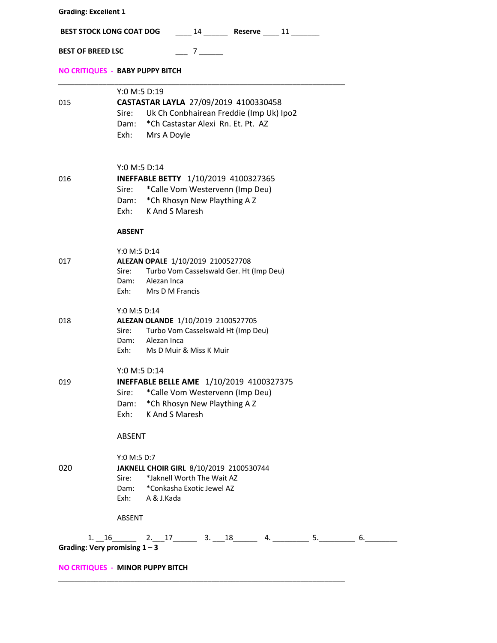| <b>Grading: Excellent 1</b>                                   |                                                                                                                                                                               |  |  |
|---------------------------------------------------------------|-------------------------------------------------------------------------------------------------------------------------------------------------------------------------------|--|--|
| BEST STOCK LONG COAT DOG 14 ________ Reserve _____ 11 _______ |                                                                                                                                                                               |  |  |
| <b>BEST OF BREED LSC</b>                                      | $\frac{7}{2}$                                                                                                                                                                 |  |  |
|                                                               | NO CRITIQUES - BABY PUPPY BITCH                                                                                                                                               |  |  |
| 015                                                           | Y:0 M:5 D:19<br>CASTASTAR LAYLA 27/09/2019 4100330458<br>Sire: Uk Ch Conbhairean Freddie (Imp Uk) Ipo2<br>Dam: * Ch Castastar Alexi Rn. Et. Pt. AZ<br>Exh: Mrs A Doyle        |  |  |
| 016                                                           | Y:0 M:5 D:14<br>INEFFABLE BETTY 1/10/2019 4100327365<br>Sire: * Calle Vom Westervenn (Imp Deu)<br>Dam: * Ch Rhosyn New Plaything A Z<br>Exh: K And S Maresh                   |  |  |
| 017                                                           | <b>ABSENT</b><br>Y:0 M:5 D:14<br>ALEZAN OPALE 1/10/2019 2100527708<br>Sire: Turbo Vom Casselswald Ger. Ht (Imp Deu)<br>Dam: Alezan Inca<br>Exh: Mrs D M Francis               |  |  |
| 018                                                           | Y:0 M:5 D:14<br>ALEZAN OLANDE 1/10/2019 2100527705<br>Sire: Turbo Vom Casselswald Ht (Imp Deu)<br>Dam: Alezan Inca<br>Exh: Ms D Muir & Miss K Muir                            |  |  |
| 019                                                           | Y:0 M:5 D:14<br><b>INEFFABLE BELLE AME</b> 1/10/2019 4100327375<br>*Calle Vom Westervenn (Imp Deu)<br>Sire:<br>*Ch Rhosyn New Plaything A Z<br>Dam:<br>K And S Maresh<br>Exh: |  |  |
| 020                                                           | ABSENT<br>Y:0 M:5 D:7<br>JAKNELL CHOIR GIRL 8/10/2019 2100530744<br>*Jaknell Worth The Wait AZ<br>Sire:<br>*Conkasha Exotic Jewel AZ<br>Dam:<br>Exh: A & J.Kada               |  |  |
| Grading: Very promising $1 - 3$                               | ABSENT<br>$1.16$ 2. $17$ 3. $18$ 4. 5.<br>6.<br>NO CRITIQUES - MINOR PUPPY BITCH                                                                                              |  |  |
|                                                               |                                                                                                                                                                               |  |  |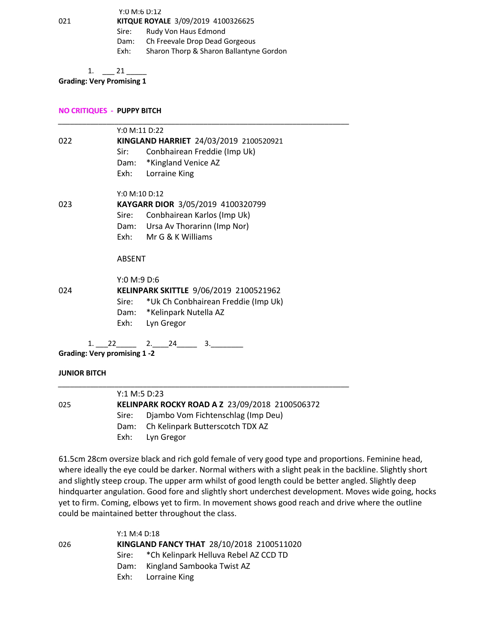Y:0 M:6 D:12 021 **KITQUE ROYALE** 3/09/2019 4100326625

Sire: Rudy Von Haus Edmond

Dam: Ch Freevale Drop Dead Gorgeous

Exh: Sharon Thorp & Sharon Ballantyne Gordon

 $1. \t 21$ 

**Grading: Very Promising 1**

**NO CRITIQUES - PUPPY BITCH** 

|     | Y:0 M:11 D:22                             |
|-----|-------------------------------------------|
| 022 | KINGLAND HARRIET 24/03/2019 2100520921    |
|     | Conbhairean Freddie (Imp Uk)<br>Sir:      |
|     | Dam: *Kingland Venice AZ                  |
|     | Exh:<br>Lorraine King                     |
|     | Y:0 M:10 D:12                             |
| 023 | KAYGARR DIOR 3/05/2019 4100320799         |
|     | Sire: Conbhairean Karlos (Imp Uk)         |
|     | Dam: Ursa Av Thorarinn (Imp Nor)          |
|     | Exh: Mr G & K Williams                    |
|     | <b>ABSENT</b>                             |
|     | Y:0 M:9 D:6                               |
| 024 | KELINPARK SKITTLE 9/06/2019 2100521962    |
|     | Sire: *Uk Ch Conbhairean Freddie (Imp Uk) |
|     | Dam: *Kelinpark Nutella AZ                |
|     | Lyn Gregor<br>Exh:                        |
|     | 2.<br>3.<br>22 —<br>24<br>1.              |

**Grading: Very promising 1 -2** 

#### **JUNIOR BITCH**

|     | Y:1 M:5 D:23                                   |                                       |  |
|-----|------------------------------------------------|---------------------------------------|--|
| 025 | KELINPARK ROCKY ROAD A Z 23/09/2018 2100506372 |                                       |  |
|     | Sire:                                          | Diambo Vom Fichtenschlag (Imp Deu)    |  |
|     |                                                | Dam: Ch Kelinpark Butterscotch TDX AZ |  |
|     |                                                | Exh: Lyn Gregor                       |  |
|     |                                                |                                       |  |

61.5cm 28cm oversize black and rich gold female of very good type and proportions. Feminine head, where ideally the eye could be darker. Normal withers with a slight peak in the backline. Slightly short and slightly steep croup. The upper arm whilst of good length could be better angled. Slightly deep hindquarter angulation. Good fore and slightly short underchest development. Moves wide going, hocks yet to firm. Coming, elbows yet to firm. In movement shows good reach and drive where the outline could be maintained better throughout the class.

|     | Y:1 M:4 D:18 |                                              |
|-----|--------------|----------------------------------------------|
| 026 |              | KINGLAND FANCY THAT 28/10/2018 2100511020    |
|     |              | Sire: * Ch Kelinpark Helluva Rebel AZ CCD TD |
|     |              | Dam: Kingland Sambooka Twist AZ              |
|     |              | Exh: Lorraine King                           |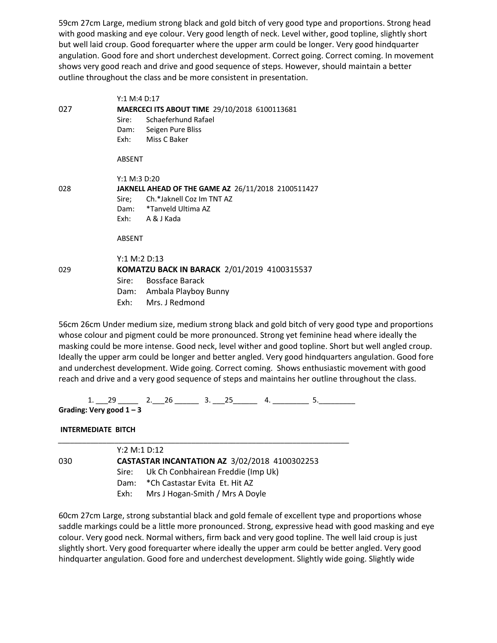59cm 27cm Large, medium strong black and gold bitch of very good type and proportions. Strong head with good masking and eye colour. Very good length of neck. Level wither, good topline, slightly short but well laid croup. Good forequarter where the upper arm could be longer. Very good hindquarter angulation. Good fore and short underchest development. Correct going. Correct coming. In movement shows very good reach and drive and good sequence of steps. However, should maintain a better outline throughout the class and be more consistent in presentation.

|     | Y:1 M:4 D:17                                                                                                                                        |  |
|-----|-----------------------------------------------------------------------------------------------------------------------------------------------------|--|
| 027 | MAERCECI ITS ABOUT TIME 29/10/2018 6100113681<br>Sire: Schaeferhund Rafael<br>Dam: Seigen Pure Bliss<br>Exh: Miss C Baker                           |  |
|     | ABSENT                                                                                                                                              |  |
| 028 | Y:1 M:3 D:20<br>JAKNELL AHEAD OF THE GAME AZ 26/11/2018 2100511427<br>Sire; Ch.*Jaknell Coz Im TNT AZ<br>Dam: *Tanveld Ultima AZ<br>Exh: A & J Kada |  |
|     | ABSENT                                                                                                                                              |  |
| 029 | Y:1 M:2 D:13<br>KOMATZU BACK IN BARACK 2/01/2019 4100315537<br>Sire: Bossface Barack<br>Dam: Ambala Playboy Bunny                                   |  |
|     | Exh: Mrs. J Redmond                                                                                                                                 |  |

56cm 26cm Under medium size, medium strong black and gold bitch of very good type and proportions whose colour and pigment could be more pronounced. Strong yet feminine head where ideally the masking could be more intense. Good neck, level wither and good topline. Short but well angled croup. Ideally the upper arm could be longer and better angled. Very good hindquarters angulation. Good fore and underchest development. Wide going. Correct coming. Shows enthusiastic movement with good reach and drive and a very good sequence of steps and maintains her outline throughout the class.

1.  $29 \longrightarrow 26$   $3.25$   $4.$   $3.$   $5.$ 

**Grading: Very good 1 – 3** 

**INTERMEDIATE BITCH** 

|     | Y:2 M:1 D:12                                         |                                          |  |
|-----|------------------------------------------------------|------------------------------------------|--|
| 030 | <b>CASTASTAR INCANTATION AZ 3/02/2018 4100302253</b> |                                          |  |
|     |                                                      | Sire: Uk Ch Conbhairean Freddie (Imp Uk) |  |
|     |                                                      | Dam: * Ch Castastar Evita Et. Hit AZ     |  |
|     | Exh: T                                               | Mrs J Hogan-Smith / Mrs A Doyle          |  |

60cm 27cm Large, strong substantial black and gold female of excellent type and proportions whose saddle markings could be a little more pronounced. Strong, expressive head with good masking and eye colour. Very good neck. Normal withers, firm back and very good topline. The well laid croup is just slightly short. Very good forequarter where ideally the upper arm could be better angled. Very good hindquarter angulation. Good fore and underchest development. Slightly wide going. Slightly wide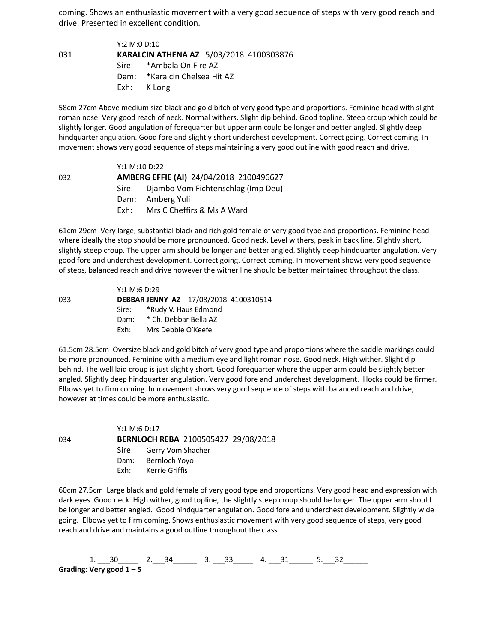coming. Shows an enthusiastic movement with a very good sequence of steps with very good reach and drive. Presented in excellent condition.

Y:2 M:0 D:10 031 **KARALCIN ATHENA AZ** 5/03/2018 4100303876 Sire: \*Ambala On Fire AZ Dam: \*Karalcin Chelsea Hit AZ Exh: K Long

58cm 27cm Above medium size black and gold bitch of very good type and proportions. Feminine head with slight roman nose. Very good reach of neck. Normal withers. Slight dip behind. Good topline. Steep croup which could be slightly longer. Good angulation of forequarter but upper arm could be longer and better angled. Slightly deep hindquarter angulation. Good fore and slightly short underchest development. Correct going. Correct coming. In movement shows very good sequence of steps maintaining a very good outline with good reach and drive.

|     | Y:1 M:10 D:22 |                                          |
|-----|---------------|------------------------------------------|
| 032 |               | AMBERG EFFIE (AI) 24/04/2018 2100496627  |
|     |               | Sire: Diambo Vom Fichtenschlag (Imp Deu) |
|     |               | Dam: Amberg Yuli                         |
|     | Fxh: .        | Mrs C Cheffirs & Ms A Ward               |

61cm 29cm Very large, substantial black and rich gold female of very good type and proportions. Feminine head where ideally the stop should be more pronounced. Good neck. Level withers, peak in back line. Slightly short, slightly steep croup. The upper arm should be longer and better angled. Slightly deep hindquarter angulation. Very good fore and underchest development. Correct going. Correct coming. In movement shows very good sequence of steps, balanced reach and drive however the wither line should be better maintained throughout the class.

|     | Y:1 M:6 D:29 |                            |                                       |
|-----|--------------|----------------------------|---------------------------------------|
| 033 |              |                            | DEBBAR JENNY AZ 17/08/2018 4100310514 |
|     |              | Sire: *Rudy V. Haus Edmond |                                       |
|     |              | Dam: * Ch. Debbar Bella AZ |                                       |
|     | Fxh:         | Mrs Debbie O'Keefe         |                                       |

61.5cm 28.5cm Oversize black and gold bitch of very good type and proportions where the saddle markings could be more pronounced. Feminine with a medium eye and light roman nose. Good neck. High wither. Slight dip behind. The well laid croup is just slightly short. Good forequarter where the upper arm could be slightly better angled. Slightly deep hindquarter angulation. Very good fore and underchest development. Hocks could be firmer. Elbows yet to firm coming. In movement shows very good sequence of steps with balanced reach and drive, however at times could be more enthusiastic.

 Y:1 M:6 D:17 034 **BERNLOCH REBA** 2100505427 29/08/2018 Sire: Gerry Vom Shacher Dam: Bernloch Yoyo Exh: Kerrie Griffis

60cm 27.5cm Large black and gold female of very good type and proportions. Very good head and expression with dark eyes. Good neck. High wither, good topline, the slightly steep croup should be longer. The upper arm should be longer and better angled. Good hindquarter angulation. Good fore and underchest development. Slightly wide going. Elbows yet to firm coming. Shows enthusiastic movement with very good sequence of steps, very good reach and drive and maintains a good outline throughout the class.

 $1.$  30  $2.$   $34$   $3.$   $33$   $4.$   $31$   $5.$   $32$ **Grading: Very good 1 – 5**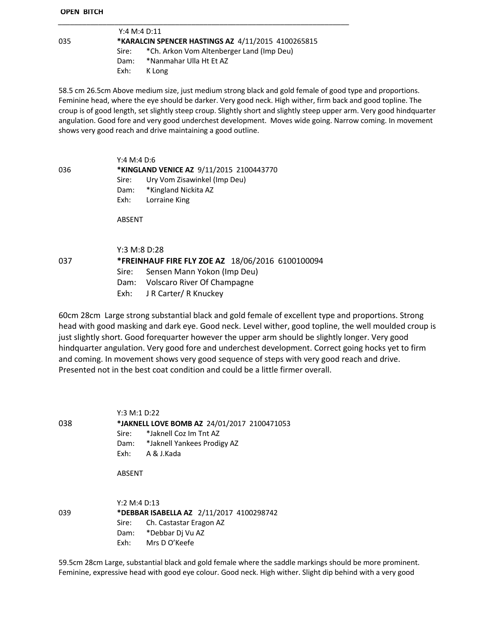#### **OPEN BITCH**

|     | Y:4 M:4 D:11 |                                                    |
|-----|--------------|----------------------------------------------------|
| 035 |              | *KARALCIN SPENCER HASTINGS AZ 4/11/2015 4100265815 |
|     | Sire:        | *Ch. Arkon Vom Altenberger Land (Imp Deu)          |
|     | Dam:         | *Nanmahar Ulla Ht Et AZ                            |
|     | Exh:         | K Long                                             |

58.5 cm 26.5cm Above medium size, just medium strong black and gold female of good type and proportions. Feminine head, where the eye should be darker. Very good neck. High wither, firm back and good topline. The croup is of good length, set slightly steep croup. Slightly short and slightly steep upper arm. Very good hindquarter angulation. Good fore and very good underchest development. Moves wide going. Narrow coming. In movement shows very good reach and drive maintaining a good outline.

Y:4 M:4 D:6 036 **\*KINGLAND VENICE AZ** 9/11/2015 2100443770 Sire: Ury Vom Zisawinkel (Imp Deu) Dam: \*Kingland Nickita AZ Exh: Lorraine King

ABSENT

Y:3 M:8 D:28

037 **\*FREINHAUF FIRE FLY ZOE AZ** 18/06/2016 6100100094

- Sire: Sensen Mann Yokon (Imp Deu)
- Dam: Volscaro River Of Champagne
- Exh: J R Carter/ R Knuckey

60cm 28cm Large strong substantial black and gold female of excellent type and proportions. Strong head with good masking and dark eye. Good neck. Level wither, good topline, the well moulded croup is just slightly short. Good forequarter however the upper arm should be slightly longer. Very good hindquarter angulation. Very good fore and underchest development. Correct going hocks yet to firm and coming. In movement shows very good sequence of steps with very good reach and drive. Presented not in the best coat condition and could be a little firmer overall.

Y:3 M:1 D:22 038 **\*JAKNELL LOVE BOMB AZ** 24/01/2017 2100471053 Sire: \*Jaknell Coz Im Tnt AZ Dam: \*Jaknell Yankees Prodigy AZ Exh: A & J.Kada

ABSENT

|     | Y:2 M:4 D:13 |                                          |  |
|-----|--------------|------------------------------------------|--|
| 039 |              | *DEBBAR ISABELLA AZ 2/11/2017 4100298742 |  |
|     |              | Sire: Ch. Castastar Eragon AZ            |  |
|     |              | Dam: *Debbar Di Vu AZ                    |  |
|     | Fxh:         | Mrs D O'Keefe                            |  |

59.5cm 28cm Large, substantial black and gold female where the saddle markings should be more prominent. Feminine, expressive head with good eye colour. Good neck. High wither. Slight dip behind with a very good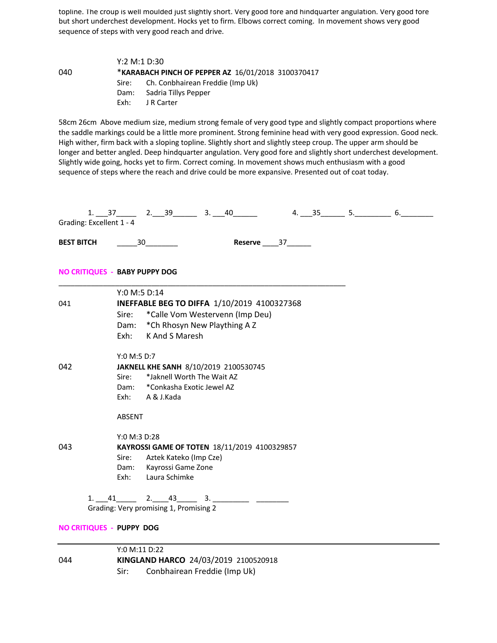topline. The croup is well moulded just slightly short. Very good fore and hindquarter angulation. Very good fore but short underchest development. Hocks yet to firm. Elbows correct coming. In movement shows very good sequence of steps with very good reach and drive.

|     |                                                    | Y:2 M:1 D:30                           |  |  |
|-----|----------------------------------------------------|----------------------------------------|--|--|
| 040 | *KARABACH PINCH OF PEPPER AZ 16/01/2018 3100370417 |                                        |  |  |
|     |                                                    | Sire: Ch. Conbhairean Freddie (Imp Uk) |  |  |
|     |                                                    | Dam: Sadria Tillys Pepper              |  |  |
|     | Fxh:                                               | J R Carter                             |  |  |

58cm 26cm Above medium size, medium strong female of very good type and slightly compact proportions where the saddle markings could be a little more prominent. Strong feminine head with very good expression. Good neck. High wither, firm back with a sloping topline. Slightly short and slightly steep croup. The upper arm should be longer and better angled. Deep hindquarter angulation. Very good fore and slightly short underchest development. Slightly wide going, hocks yet to firm. Correct coming. In movement shows much enthusiasm with a good sequence of steps where the reach and drive could be more expansive. Presented out of coat today.

| Grading: Excellent 1 - 4             |                                              |                                        | $1. 37$ 2. $39$ 3. $40$ 4. $35$ 5. 6. 6.    |                           |  |  |  |
|--------------------------------------|----------------------------------------------|----------------------------------------|---------------------------------------------|---------------------------|--|--|--|
| <b>BEST BITCH</b> 30                 |                                              |                                        |                                             | Reserve ______ 37________ |  |  |  |
| <b>NO CRITIQUES - BABY PUPPY DOG</b> |                                              |                                        |                                             |                           |  |  |  |
|                                      | Y:0 M:5 D:14                                 |                                        |                                             |                           |  |  |  |
| 041                                  |                                              |                                        | INEFFABLE BEG TO DIFFA 1/10/2019 4100327368 |                           |  |  |  |
|                                      | Sire:                                        |                                        | *Calle Vom Westervenn (Imp Deu)             |                           |  |  |  |
|                                      |                                              |                                        | Dam: * Ch Rhosyn New Plaything A Z          |                           |  |  |  |
|                                      |                                              | Exh: K And S Maresh                    |                                             |                           |  |  |  |
|                                      | Y:0 M:5 D:7                                  |                                        |                                             |                           |  |  |  |
| 042                                  | JAKNELL KHE SANH 8/10/2019 2100530745        |                                        |                                             |                           |  |  |  |
|                                      |                                              |                                        | Sire: *Jaknell Worth The Wait AZ            |                           |  |  |  |
|                                      |                                              | Dam: * Conkasha Exotic Jewel AZ        |                                             |                           |  |  |  |
|                                      |                                              | Exh: A & J.Kada                        |                                             |                           |  |  |  |
|                                      | ABSENT                                       |                                        |                                             |                           |  |  |  |
|                                      | Y:0 M:3 D:28                                 |                                        |                                             |                           |  |  |  |
| 043                                  | KAYROSSI GAME OF TOTEN 18/11/2019 4100329857 |                                        |                                             |                           |  |  |  |
|                                      |                                              | Sire: Aztek Kateko (Imp Cze)           |                                             |                           |  |  |  |
|                                      |                                              | Dam: Kayrossi Game Zone                |                                             |                           |  |  |  |
|                                      |                                              | Exh: Laura Schimke                     |                                             |                           |  |  |  |
|                                      |                                              | Grading: Very promising 1, Promising 2 | $1. 41$ $2. 43$ $3.$                        |                           |  |  |  |
| <b>NO CRITIQUES - PUPPY DOG</b>      |                                              |                                        |                                             |                           |  |  |  |
|                                      | Y:0 M:11 D:22                                |                                        |                                             |                           |  |  |  |

044 **KINGLAND HARCO** 24/03/2019 2100520918 Sir: Conbhairean Freddie (Imp Uk)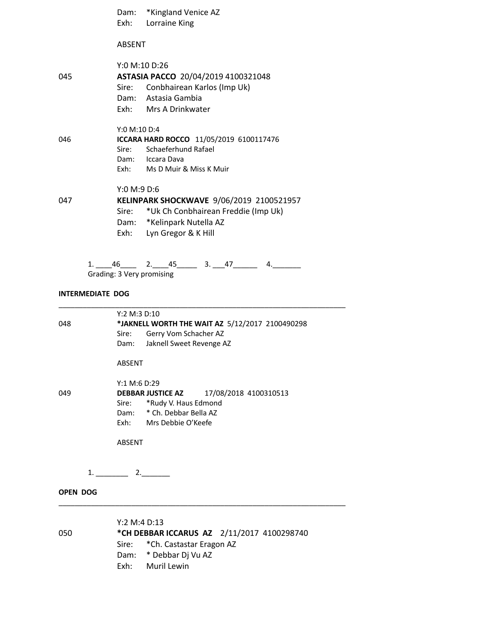Dam: \*Kingland Venice AZ Exh: Lorraine King ABSENT Y:0 M:10 D:26 045 **ASTASIA PACCO** 20/04/2019 4100321048 Sire: Conbhairean Karlos (Imp Uk) Dam: Astasia Gambia Exh: Mrs A Drinkwater Y:0 M:10 D:4 046 **ICCARA HARD ROCCO** 11/05/2019 6100117476 Sire: Schaeferhund Rafael Dam: Iccara Dava Exh: Ms D Muir & Miss K Muir Y:0 M:9 D:6 047 **KELINPARK SHOCKWAVE** 9/06/2019 2100521957 Sire: \*Uk Ch Conbhairean Freddie (Imp Uk) Dam: \*Kelinpark Nutella AZ Exh: Lyn Gregor & K Hill

> $1. \_ 46 \_ 2. \_ 45 \_ 3. \_ 47 \_ 4. \_ 4.$ Grading: 3 Very promising

\_\_\_\_\_\_\_\_\_\_\_\_\_\_\_\_\_\_\_\_\_\_\_\_\_\_\_\_\_\_\_\_\_\_\_\_\_\_\_\_\_\_\_\_\_\_\_\_\_\_\_\_\_\_\_\_\_\_\_\_\_\_\_\_\_\_\_\_\_\_\_

#### **INTERMEDIATE DOG**

Y:2 M:3 D:10 048 **\*JAKNELL WORTH THE WAIT AZ** 5/12/2017 2100490298 Sire: Gerry Vom Schacher AZ Dam: Jaknell Sweet Revenge AZ ABSENT Y:1 M:6 D:29 049 **DEBBAR JUSTICE AZ** 17/08/2018 4100310513 Sire: \*Rudy V. Haus Edmond Dam: \* Ch. Debbar Bella AZ Exh: Mrs Debbie O'Keefe ABSENT

1. \_\_\_\_\_\_\_\_ 2.\_\_\_\_\_\_\_

**OPEN DOG** 

Y:2 M:4 D:13 050 **\*CH DEBBAR ICCARUS AZ** 2/11/2017 4100298740 Sire: \*Ch. Castastar Eragon AZ Dam: \* Debbar Dj Vu AZ Exh: Muril Lewin

\_\_\_\_\_\_\_\_\_\_\_\_\_\_\_\_\_\_\_\_\_\_\_\_\_\_\_\_\_\_\_\_\_\_\_\_\_\_\_\_\_\_\_\_\_\_\_\_\_\_\_\_\_\_\_\_\_\_\_\_\_\_\_\_\_\_\_\_\_\_\_